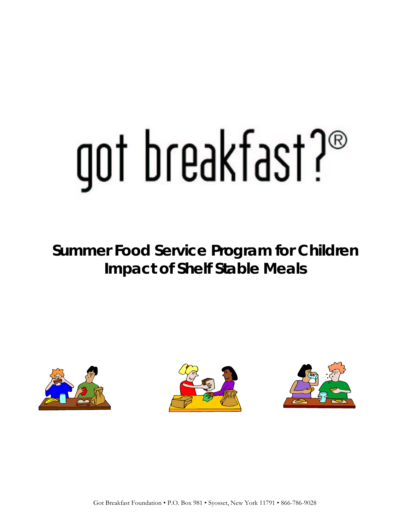# got breakfast?®

**Summer Food Service Program for Children Impact of Shelf Stable Meals** 





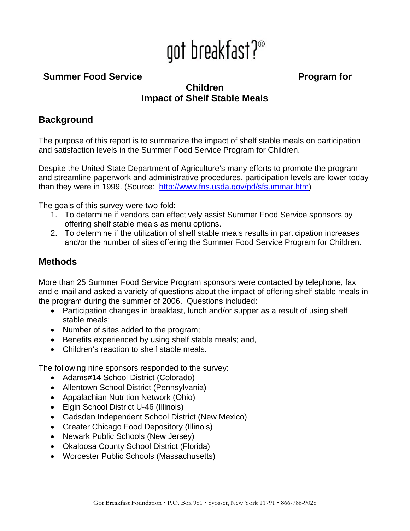## got breakfast?<sup>®</sup>

#### **Summer Food Service Program for**

#### **Children Impact of Shelf Stable Meals**

#### **Background**

The purpose of this report is to summarize the impact of shelf stable meals on participation and satisfaction levels in the Summer Food Service Program for Children.

Despite the United State Department of Agriculture's many efforts to promote the program and streamline paperwork and administrative procedures, participation levels are lower today than they were in 1999. (Source: <http://www.fns.usda.gov/pd/sfsummar.htm>)

The goals of this survey were two-fold:

- 1. To determine if vendors can effectively assist Summer Food Service sponsors by offering shelf stable meals as menu options.
- 2. To determine if the utilization of shelf stable meals results in participation increases and/or the number of sites offering the Summer Food Service Program for Children.

#### **Methods**

More than 25 Summer Food Service Program sponsors were contacted by telephone, fax and e-mail and asked a variety of questions about the impact of offering shelf stable meals in the program during the summer of 2006. Questions included:

- Participation changes in breakfast, lunch and/or supper as a result of using shelf stable meals;
- Number of sites added to the program;
- Benefits experienced by using shelf stable meals; and,
- Children's reaction to shelf stable meals.

The following nine sponsors responded to the survey:

- Adams#14 School District (Colorado)
- Allentown School District (Pennsylvania)
- Appalachian Nutrition Network (Ohio)
- Elgin School District U-46 (Illinois)
- Gadsden Independent School District (New Mexico)
- Greater Chicago Food Depository (Illinois)
- Newark Public Schools (New Jersey)
- Okaloosa County School District (Florida)
- Worcester Public Schools (Massachusetts)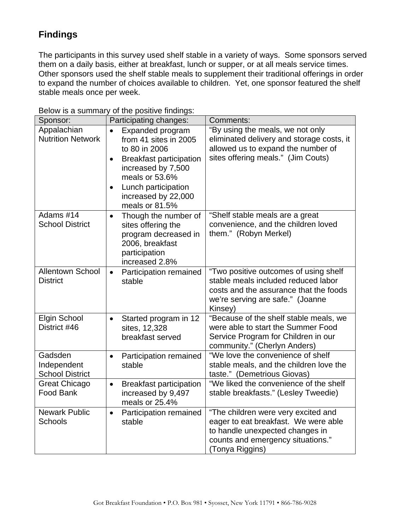### **Findings**

The participants in this survey used shelf stable in a variety of ways. Some sponsors served them on a daily basis, either at breakfast, lunch or supper, or at all meals service times. Other sponsors used the shelf stable meals to supplement their traditional offerings in order to expand the number of choices available to children. Yet, one sponsor featured the shelf stable meals once per week.

| Sponsor:                                         | Participating changes:                                                                                                                                                                                                         | Comments:                                                                                                                                                              |
|--------------------------------------------------|--------------------------------------------------------------------------------------------------------------------------------------------------------------------------------------------------------------------------------|------------------------------------------------------------------------------------------------------------------------------------------------------------------------|
| Appalachian<br><b>Nutrition Network</b>          | Expanded program<br>$\bullet$<br>from 41 sites in 2005<br>to 80 in 2006<br><b>Breakfast participation</b><br>$\bullet$<br>increased by 7,500<br>meals or 53.6%<br>Lunch participation<br>increased by 22,000<br>meals or 81.5% | "By using the meals, we not only<br>eliminated delivery and storage costs, it<br>allowed us to expand the number of<br>sites offering meals." (Jim Couts)              |
| Adams #14<br><b>School District</b>              | Though the number of<br>$\bullet$<br>sites offering the<br>program decreased in<br>2006, breakfast<br>participation<br>increased 2.8%                                                                                          | "Shelf stable meals are a great<br>convenience, and the children loved<br>them." (Robyn Merkel)                                                                        |
| Allentown School<br><b>District</b>              | Participation remained<br>$\bullet$<br>stable                                                                                                                                                                                  | "Two positive outcomes of using shelf<br>stable meals included reduced labor<br>costs and the assurance that the foods<br>we're serving are safe." (Joanne<br>Kinsey)  |
| <b>Elgin School</b><br>District #46              | Started program in 12<br>$\bullet$<br>sites, 12,328<br>breakfast served                                                                                                                                                        | "Because of the shelf stable meals, we<br>were able to start the Summer Food<br>Service Program for Children in our<br>community." (Cherlyn Anders)                    |
| Gadsden<br>Independent<br><b>School District</b> | Participation remained<br>$\bullet$<br>stable                                                                                                                                                                                  | "We love the convenience of shelf<br>stable meals, and the children love the<br>taste." (Demetrious Giovas)                                                            |
| Great Chicago<br>Food Bank                       | <b>Breakfast participation</b><br>$\bullet$<br>increased by 9,497<br>meals or 25.4%                                                                                                                                            | "We liked the convenience of the shelf<br>stable breakfasts." (Lesley Tweedie)                                                                                         |
| <b>Newark Public</b><br>Schools                  | Participation remained<br>$\bullet$<br>stable                                                                                                                                                                                  | "The children were very excited and<br>eager to eat breakfast. We were able<br>to handle unexpected changes in<br>counts and emergency situations."<br>(Tonya Riggins) |

Below is a summary of the positive findings: